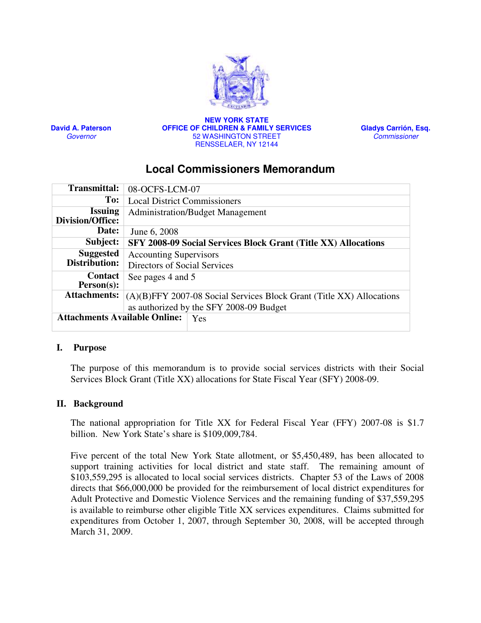

David A. Paterson **Governor** 

NEW YORK STATE OFFICE OF CHILDREN & FAMILY SERVICES 52 WASHINGTON STREET RENSSELAER, NY 12144

Gladys Carrión, Esq. Commissioner

# Local Commissioners Memorandum

| <b>Transmittal:</b>                  | 08-OCFS-LCM-07                                                        |  |  |
|--------------------------------------|-----------------------------------------------------------------------|--|--|
| To:                                  | <b>Local District Commissioners</b>                                   |  |  |
| <b>Issuing</b><br>Division/Office:   | <b>Administration/Budget Management</b>                               |  |  |
| Date:                                | June 6, 2008                                                          |  |  |
| Subject:                             | <b>SFY 2008-09 Social Services Block Grant (Title XX) Allocations</b> |  |  |
| <b>Suggested</b>                     | <b>Accounting Supervisors</b>                                         |  |  |
| Distribution:                        | Directors of Social Services                                          |  |  |
| <b>Contact</b>                       | See pages 4 and 5                                                     |  |  |
| $Person(s)$ :                        |                                                                       |  |  |
| <b>Attachments:</b>                  | (A)(B)FFY 2007-08 Social Services Block Grant (Title XX) Allocations  |  |  |
|                                      | as authorized by the SFY 2008-09 Budget                               |  |  |
| <b>Attachments Available Online:</b> | Yes                                                                   |  |  |

#### I. Purpose

The purpose of this memorandum is to provide social services districts with their Social Services Block Grant (Title XX) allocations for State Fiscal Year (SFY) 2008-09.

## II. Background

The national appropriation for Title XX for Federal Fiscal Year (FFY) 2007-08 is \$1.7 billion. New York State's share is \$109,009,784.

Five percent of the total New York State allotment, or \$5,450,489, has been allocated to support training activities for local district and state staff. The remaining amount of \$103,559,295 is allocated to local social services districts. Chapter 53 of the Laws of 2008 directs that \$66,000,000 be provided for the reimbursement of local district expenditures for Adult Protective and Domestic Violence Services and the remaining funding of \$37,559,295 is available to reimburse other eligible Title XX services expenditures. Claims submitted for expenditures from October 1, 2007, through September 30, 2008, will be accepted through March 31, 2009.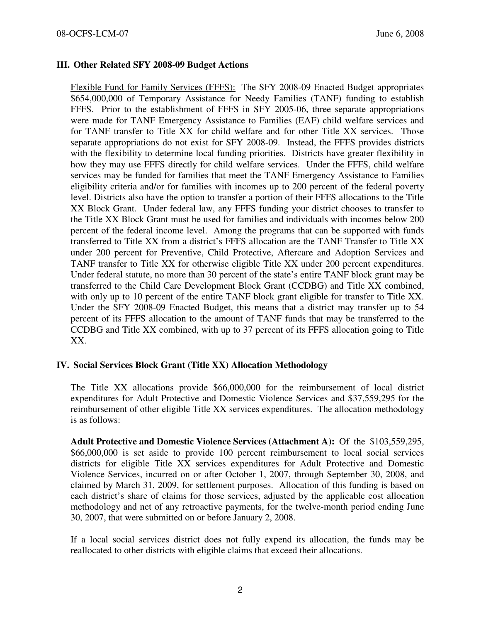### III. Other Related SFY 2008-09 Budget Actions

Flexible Fund for Family Services (FFFS): The SFY 2008-09 Enacted Budget appropriates \$654,000,000 of Temporary Assistance for Needy Families (TANF) funding to establish FFFS. Prior to the establishment of FFFS in SFY 2005-06, three separate appropriations were made for TANF Emergency Assistance to Families (EAF) child welfare services and for TANF transfer to Title XX for child welfare and for other Title XX services. Those separate appropriations do not exist for SFY 2008-09. Instead, the FFFS provides districts with the flexibility to determine local funding priorities. Districts have greater flexibility in how they may use FFFS directly for child welfare services. Under the FFFS, child welfare services may be funded for families that meet the TANF Emergency Assistance to Families eligibility criteria and/or for families with incomes up to 200 percent of the federal poverty level. Districts also have the option to transfer a portion of their FFFS allocations to the Title XX Block Grant. Under federal law, any FFFS funding your district chooses to transfer to the Title XX Block Grant must be used for families and individuals with incomes below 200 percent of the federal income level. Among the programs that can be supported with funds transferred to Title XX from a district's FFFS allocation are the TANF Transfer to Title XX under 200 percent for Preventive, Child Protective, Aftercare and Adoption Services and TANF transfer to Title XX for otherwise eligible Title XX under 200 percent expenditures. Under federal statute, no more than 30 percent of the state's entire TANF block grant may be transferred to the Child Care Development Block Grant (CCDBG) and Title XX combined, with only up to 10 percent of the entire TANF block grant eligible for transfer to Title XX. Under the SFY 2008-09 Enacted Budget, this means that a district may transfer up to 54 percent of its FFFS allocation to the amount of TANF funds that may be transferred to the CCDBG and Title XX combined, with up to 37 percent of its FFFS allocation going to Title XX.

#### IV. Social Services Block Grant (Title XX) Allocation Methodology

The Title XX allocations provide \$66,000,000 for the reimbursement of local district expenditures for Adult Protective and Domestic Violence Services and \$37,559,295 for the reimbursement of other eligible Title XX services expenditures. The allocation methodology is as follows:

Adult Protective and Domestic Violence Services (Attachment A): Of the \$103,559,295, \$66,000,000 is set aside to provide 100 percent reimbursement to local social services districts for eligible Title XX services expenditures for Adult Protective and Domestic Violence Services, incurred on or after October 1, 2007, through September 30, 2008, and claimed by March 31, 2009, for settlement purposes. Allocation of this funding is based on each district's share of claims for those services, adjusted by the applicable cost allocation methodology and net of any retroactive payments, for the twelve-month period ending June 30, 2007, that were submitted on or before January 2, 2008.

If a local social services district does not fully expend its allocation, the funds may be reallocated to other districts with eligible claims that exceed their allocations.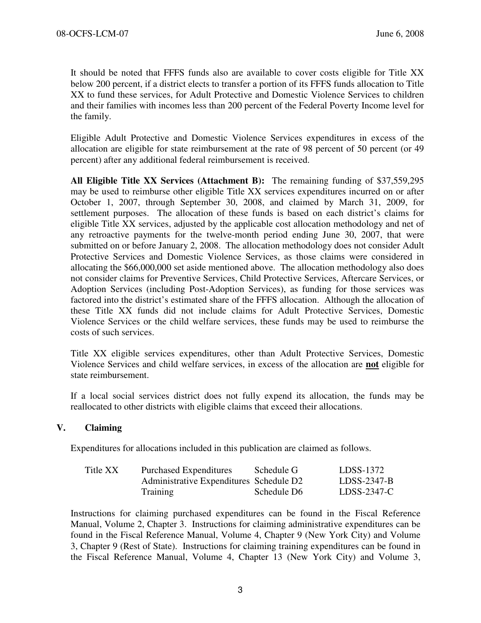It should be noted that FFFS funds also are available to cover costs eligible for Title XX below 200 percent, if a district elects to transfer a portion of its FFFS funds allocation to Title XX to fund these services, for Adult Protective and Domestic Violence Services to children and their families with incomes less than 200 percent of the Federal Poverty Income level for the family.

Eligible Adult Protective and Domestic Violence Services expenditures in excess of the allocation are eligible for state reimbursement at the rate of 98 percent of 50 percent (or 49 percent) after any additional federal reimbursement is received.

All Eligible Title XX Services (Attachment B): The remaining funding of \$37,559,295 may be used to reimburse other eligible Title XX services expenditures incurred on or after October 1, 2007, through September 30, 2008, and claimed by March 31, 2009, for settlement purposes. The allocation of these funds is based on each district's claims for eligible Title XX services, adjusted by the applicable cost allocation methodology and net of any retroactive payments for the twelve-month period ending June 30, 2007, that were submitted on or before January 2, 2008. The allocation methodology does not consider Adult Protective Services and Domestic Violence Services, as those claims were considered in allocating the \$66,000,000 set aside mentioned above. The allocation methodology also does not consider claims for Preventive Services, Child Protective Services, Aftercare Services, or Adoption Services (including Post-Adoption Services), as funding for those services was factored into the district's estimated share of the FFFS allocation. Although the allocation of these Title XX funds did not include claims for Adult Protective Services, Domestic Violence Services or the child welfare services, these funds may be used to reimburse the costs of such services.

Title XX eligible services expenditures, other than Adult Protective Services, Domestic Violence Services and child welfare services, in excess of the allocation are not eligible for state reimbursement.

If a local social services district does not fully expend its allocation, the funds may be reallocated to other districts with eligible claims that exceed their allocations.

#### V. Claiming

Expenditures for allocations included in this publication are claimed as follows.

| Title XX | <b>Purchased Expenditures</b>           | Schedule G  | LDSS-1372     |
|----------|-----------------------------------------|-------------|---------------|
|          | Administrative Expenditures Schedule D2 |             | $LDSS-2347-B$ |
|          | Training                                | Schedule D6 | $LDSS-2347-C$ |

Instructions for claiming purchased expenditures can be found in the Fiscal Reference Manual, Volume 2, Chapter 3. Instructions for claiming administrative expenditures can be found in the Fiscal Reference Manual, Volume 4, Chapter 9 (New York City) and Volume 3, Chapter 9 (Rest of State). Instructions for claiming training expenditures can be found in the Fiscal Reference Manual, Volume 4, Chapter 13 (New York City) and Volume 3,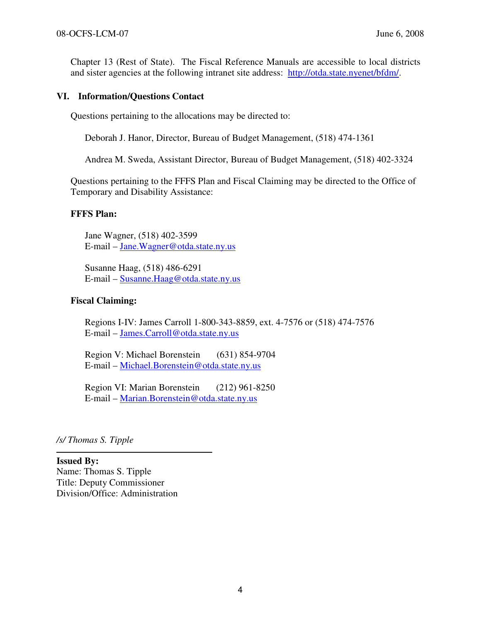Chapter 13 (Rest of State). The Fiscal Reference Manuals are accessible to local districts and sister agencies at the following intranet site address: http://otda.state.nyenet/bfdm/.

#### VI. Information/Questions Contact

Questions pertaining to the allocations may be directed to:

Deborah J. Hanor, Director, Bureau of Budget Management, (518) 474-1361

Andrea M. Sweda, Assistant Director, Bureau of Budget Management, (518) 402-3324

Questions pertaining to the FFFS Plan and Fiscal Claiming may be directed to the Office of Temporary and Disability Assistance:

#### FFFS Plan:

Jane Wagner, (518) 402-3599 E-mail – Jane.Wagner@otda.state.ny.us

Susanne Haag, (518) 486-6291 E-mail – Susanne.Haag@otda.state.ny.us

#### Fiscal Claiming:

Regions I-IV: James Carroll 1-800-343-8859, ext. 4-7576 or (518) 474-7576 E-mail – James.Carroll@otda.state.ny.us

Region V: Michael Borenstein (631) 854-9704 E-mail – Michael.Borenstein@otda.state.ny.us

Region VI: Marian Borenstein (212) 961-8250 E-mail – Marian.Borenstein@otda.state.ny.us

/s/ Thomas S. Tipple

Issued By: Name: Thomas S. Tipple Title: Deputy Commissioner Division/Office: Administration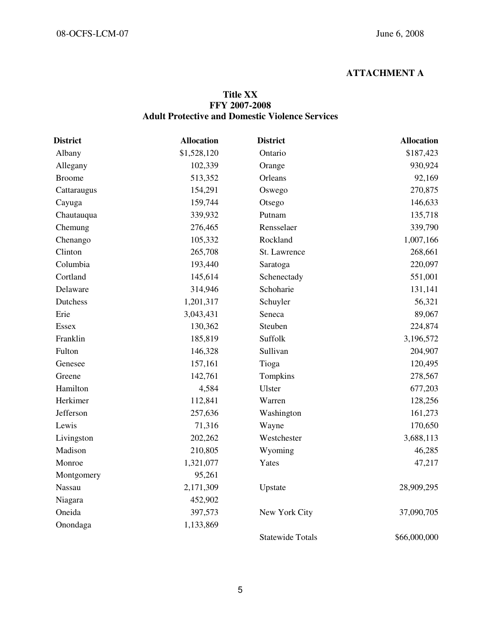## ATTACHMENT A

### Title XX FFY 2007-2008 Adult Protective and Domestic Violence Services

| <b>District</b> | <b>Allocation</b> | <b>District</b>         | <b>Allocation</b> |
|-----------------|-------------------|-------------------------|-------------------|
| Albany          | \$1,528,120       | Ontario                 | \$187,423         |
| Allegany        | 102,339           | Orange                  | 930,924           |
| <b>Broome</b>   | 513,352           | Orleans                 | 92,169            |
| Cattaraugus     | 154,291           | Oswego                  | 270,875           |
| Cayuga          | 159,744           | Otsego                  | 146,633           |
| Chautauqua      | 339,932           | Putnam                  | 135,718           |
| Chemung         | 276,465           | Rensselaer              | 339,790           |
| Chenango        | 105,332           | Rockland                | 1,007,166         |
| Clinton         | 265,708           | St. Lawrence            | 268,661           |
| Columbia        | 193,440           | Saratoga                | 220,097           |
| Cortland        | 145,614           | Schenectady             | 551,001           |
| Delaware        | 314,946           | Schoharie               | 131,141           |
| Dutchess        | 1,201,317         | Schuyler                | 56,321            |
| Erie            | 3,043,431         | Seneca                  | 89,067            |
| <b>Essex</b>    | 130,362           | Steuben                 | 224,874           |
| Franklin        | 185,819           | Suffolk                 | 3,196,572         |
| Fulton          | 146,328           | Sullivan                | 204,907           |
| Genesee         | 157,161           | Tioga                   | 120,495           |
| Greene          | 142,761           | Tompkins                | 278,567           |
| Hamilton        | 4,584             | Ulster                  | 677,203           |
| Herkimer        | 112,841           | Warren                  | 128,256           |
| Jefferson       | 257,636           | Washington              | 161,273           |
| Lewis           | 71,316            | Wayne                   | 170,650           |
| Livingston      | 202,262           | Westchester             | 3,688,113         |
| Madison         | 210,805           | Wyoming                 | 46,285            |
| Monroe          | 1,321,077         | Yates                   | 47,217            |
| Montgomery      | 95,261            |                         |                   |
| Nassau          | 2,171,309         | Upstate                 | 28,909,295        |
| Niagara         | 452,902           |                         |                   |
| Oneida          | 397,573           | New York City           | 37,090,705        |
| Onondaga        | 1,133,869         |                         |                   |
|                 |                   | <b>Statewide Totals</b> | \$66,000,000      |